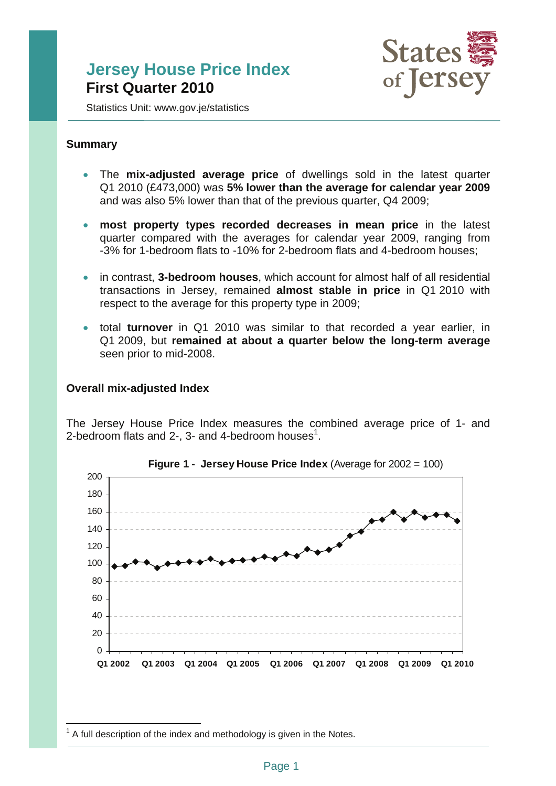# **Jersey House Price Index First Quarter 2010**



Statistics Unit: www.gov.je/statistics

#### **Summary**

- The **mix-adjusted average price** of dwellings sold in the latest quarter Q1 2010 (£473,000) was **5% lower than the average for calendar year 2009** and was also 5% lower than that of the previous quarter, Q4 2009;
- **most property types recorded decreases in mean price** in the latest quarter compared with the averages for calendar year 2009, ranging from -3% for 1-bedroom flats to -10% for 2-bedroom flats and 4-bedroom houses;
- in contrast, **3-bedroom houses**, which account for almost half of all residential transactions in Jersey, remained **almost stable in price** in Q1 2010 with respect to the average for this property type in 2009;
- total **turnover** in Q1 2010 was similar to that recorded a year earlier, in Q1 2009, but **remained at about a quarter below the long-term average** seen prior to mid-2008.

#### **Overall mix-adjusted Index**

The Jersey House Price Index measures the combined average price of 1- and 2-bedroom flats and  $2$ -,  $3$ - and 4-bedroom houses<sup>1</sup>.





 $\overline{a}$  $1$  A full description of the index and methodology is given in the Notes.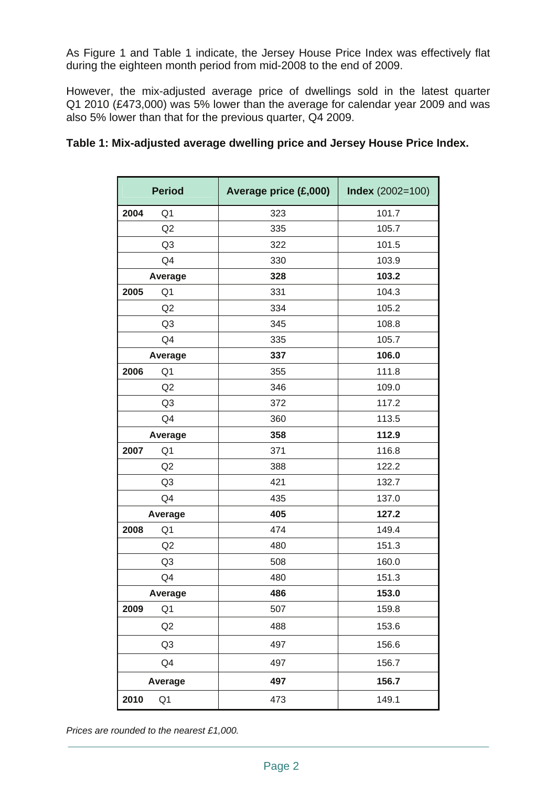As Figure 1 and Table 1 indicate, the Jersey House Price Index was effectively flat during the eighteen month period from mid-2008 to the end of 2009.

However, the mix-adjusted average price of dwellings sold in the latest quarter Q1 2010 (£473,000) was 5% lower than the average for calendar year 2009 and was also 5% lower than that for the previous quarter, Q4 2009.

## **Table 1: Mix-adjusted average dwelling price and Jersey House Price Index.**

| <b>Period</b>          | Average price (£,000) | <b>Index</b> (2002=100) |
|------------------------|-----------------------|-------------------------|
| 2004<br>Q1             | 323                   | 101.7                   |
| Q <sub>2</sub>         | 335                   | 105.7                   |
| Q <sub>3</sub>         | 322                   | 101.5                   |
| Q4                     | 330                   | 103.9                   |
| Average                | 328                   | 103.2                   |
| 2005<br>Q1             | 331                   | 104.3                   |
| Q2                     | 334                   | 105.2                   |
| Q <sub>3</sub>         | 345                   | 108.8                   |
| Q4                     | 335                   | 105.7                   |
| Average                | 337                   | 106.0                   |
| 2006<br>Q <sub>1</sub> | 355                   | 111.8                   |
| Q2                     | 346                   | 109.0                   |
| Q <sub>3</sub>         | 372                   | 117.2                   |
| Q4                     | 360                   | 113.5                   |
| Average                | 358                   | 112.9                   |
| 2007<br>Q <sub>1</sub> | 371                   | 116.8                   |
| Q2                     | 388                   | 122.2                   |
| Q <sub>3</sub>         | 421                   | 132.7                   |
| Q4                     | 435                   | 137.0                   |
| Average                | 405                   | 127.2                   |
| 2008<br>Q <sub>1</sub> | 474                   | 149.4                   |
| Q2                     | 480                   | 151.3                   |
| Q <sub>3</sub>         | 508                   | 160.0                   |
| Q4                     | 480                   | 151.3                   |
| Average                | 486                   | 153.0                   |
| 2009<br>Q1             | 507                   | 159.8                   |
| Q2                     | 488                   | 153.6                   |
| Q <sub>3</sub>         | 497                   | 156.6                   |
| Q <sub>4</sub>         | 497                   | 156.7                   |
| Average                | 497                   | 156.7                   |
| 2010<br>Q <sub>1</sub> | 473                   | 149.1                   |

*Prices are rounded to the nearest £1,000.*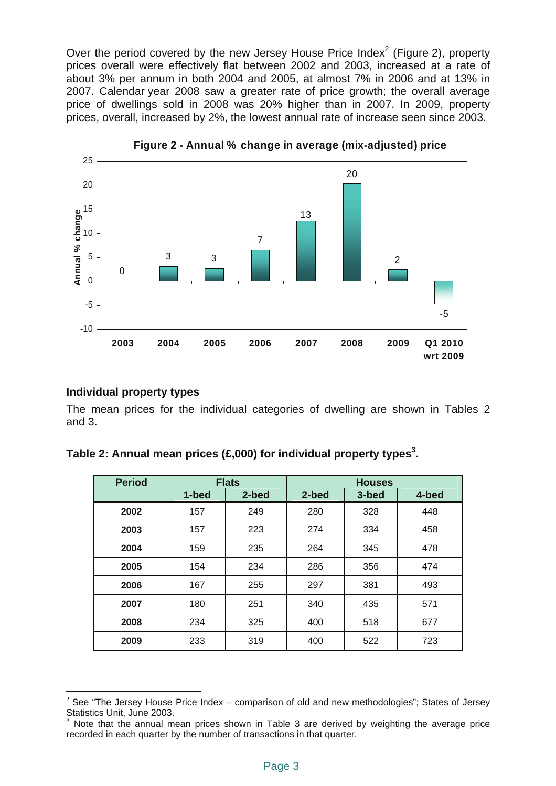Over the period covered by the new Jersey House Price Index<sup>2</sup> (Figure 2), property prices overall were effectively flat between 2002 and 2003, increased at a rate of about 3% per annum in both 2004 and 2005, at almost 7% in 2006 and at 13% in 2007. Calendar year 2008 saw a greater rate of price growth; the overall average price of dwellings sold in 2008 was 20% higher than in 2007. In 2009, property prices, overall, increased by 2%, the lowest annual rate of increase seen since 2003.



**Figure 2 - Annual % change in average (mix-adjusted) price**

#### **Individual property types**

The mean prices for the individual categories of dwelling are shown in Tables 2 and 3.

| <b>Period</b> |        | Flats          |              | <b>Houses</b>  |    |
|---------------|--------|----------------|--------------|----------------|----|
|               | المدحا | 0 <sub>h</sub> | <b>O</b> had | 2 <sub>h</sub> | -- |

Table 2: Annual mean prices (£,000) for individual property types<sup>3</sup>.

| Period | <b>Flats</b><br><b>Houses</b> |       |       |       |       |
|--------|-------------------------------|-------|-------|-------|-------|
|        | 1-bed                         | 2-bed | 2-bed | 3-bed | 4-bed |
| 2002   | 157                           | 249   | 280   | 328   | 448   |
| 2003   | 157                           | 223   | 274   | 334   | 458   |
| 2004   | 159                           | 235   | 264   | 345   | 478   |
| 2005   | 154                           | 234   | 286   | 356   | 474   |
| 2006   | 167                           | 255   | 297   | 381   | 493   |
| 2007   | 180                           | 251   | 340   | 435   | 571   |
| 2008   | 234                           | 325   | 400   | 518   | 677   |
| 2009   | 233                           | 319   | 400   | 522   | 723   |

 $\overline{a}$ <sup>2</sup> See "The Jersey House Price Index – comparison of old and new methodologies"; States of Jersey Statistics Unit, June 2003.

<sup>3</sup> Note that the annual mean prices shown in Table 3 are derived by weighting the average price recorded in each quarter by the number of transactions in that quarter.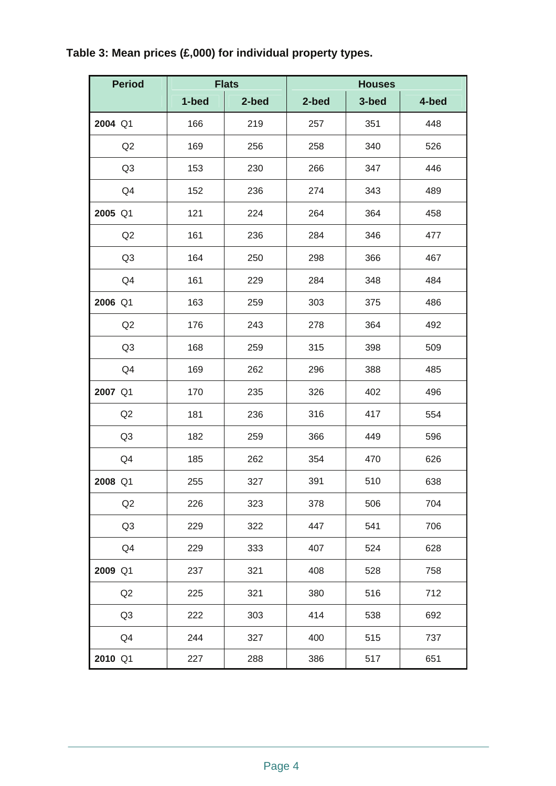# **Table 3: Mean prices (£,000) for individual property types.**

| <b>Period</b>  | <b>Flats</b> |       | <b>Houses</b> |       |       |  |  |
|----------------|--------------|-------|---------------|-------|-------|--|--|
|                | 1-bed        | 2-bed | 2-bed         | 3-bed | 4-bed |  |  |
| 2004 Q1        | 166          | 219   | 257           | 351   | 448   |  |  |
| Q2             | 169          | 256   | 258           | 340   | 526   |  |  |
| Q <sub>3</sub> | 153          | 230   | 266           | 347   | 446   |  |  |
| Q4             | 152          | 236   | 274           | 343   | 489   |  |  |
| 2005 Q1        | 121          | 224   | 264           | 364   | 458   |  |  |
| Q2             | 161          | 236   | 284           | 346   | 477   |  |  |
| Q <sub>3</sub> | 164          | 250   | 298           | 366   | 467   |  |  |
| Q4             | 161          | 229   | 284           | 348   | 484   |  |  |
| 2006 Q1        | 163          | 259   | 303           | 375   | 486   |  |  |
| Q2             | 176          | 243   | 278           | 364   | 492   |  |  |
| Q <sub>3</sub> | 168          | 259   | 315           | 398   | 509   |  |  |
| Q4             | 169          | 262   | 296           | 388   | 485   |  |  |
| 2007 Q1        | 170          | 235   | 326           | 402   | 496   |  |  |
| Q2             | 181          | 236   | 316           | 417   | 554   |  |  |
| Q <sub>3</sub> | 182          | 259   | 366           | 449   | 596   |  |  |
| Q4             | 185          | 262   | 354           | 470   | 626   |  |  |
| 2008 Q1        | 255          | 327   | 391           | 510   | 638   |  |  |
| Q2             | 226          | 323   | 378           | 506   | 704   |  |  |
| Q <sub>3</sub> | 229          | 322   | 447           | 541   | 706   |  |  |
| Q4             | 229          | 333   | 407           | 524   | 628   |  |  |
| 2009 Q1        | 237          | 321   | 408           | 528   | 758   |  |  |
| Q2             | 225          | 321   | 380           | 516   | 712   |  |  |
| Q <sub>3</sub> | 222          | 303   | 414           | 538   | 692   |  |  |
| Q4             | 244          | 327   | 400           | 515   | 737   |  |  |
| 2010 Q1        | 227          | 288   | 386           | 517   | 651   |  |  |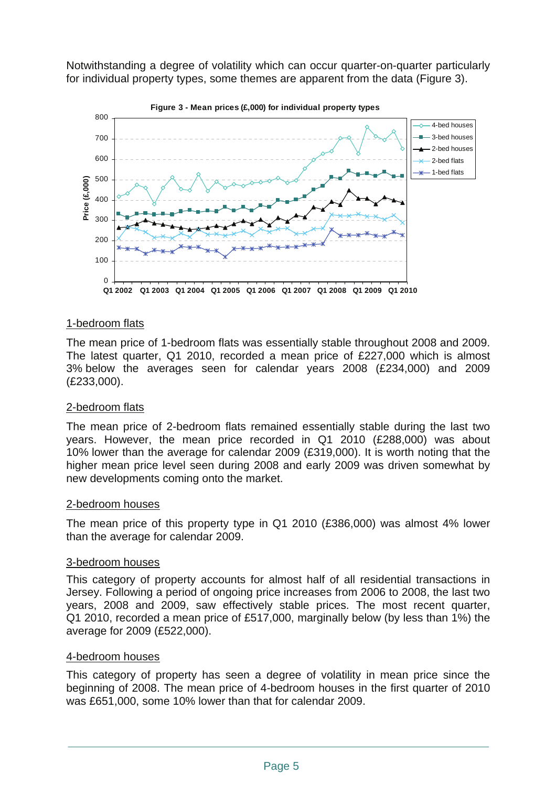Notwithstanding a degree of volatility which can occur quarter-on-quarter particularly for individual property types, some themes are apparent from the data (Figure 3).



#### 1-bedroom flats

The mean price of 1-bedroom flats was essentially stable throughout 2008 and 2009. The latest quarter, Q1 2010, recorded a mean price of £227,000 which is almost 3% below the averages seen for calendar years 2008 (£234,000) and 2009 (£233,000).

#### 2-bedroom flats

The mean price of 2-bedroom flats remained essentially stable during the last two years. However, the mean price recorded in Q1 2010 (£288,000) was about 10% lower than the average for calendar 2009 (£319,000). It is worth noting that the higher mean price level seen during 2008 and early 2009 was driven somewhat by new developments coming onto the market.

#### 2-bedroom houses

The mean price of this property type in Q1 2010 (£386,000) was almost 4% lower than the average for calendar 2009.

#### 3-bedroom houses

This category of property accounts for almost half of all residential transactions in Jersey. Following a period of ongoing price increases from 2006 to 2008, the last two years, 2008 and 2009, saw effectively stable prices. The most recent quarter, Q1 2010, recorded a mean price of £517,000, marginally below (by less than 1%) the average for 2009 (£522,000).

#### 4-bedroom houses

This category of property has seen a degree of volatility in mean price since the beginning of 2008. The mean price of 4-bedroom houses in the first quarter of 2010 was £651,000, some 10% lower than that for calendar 2009.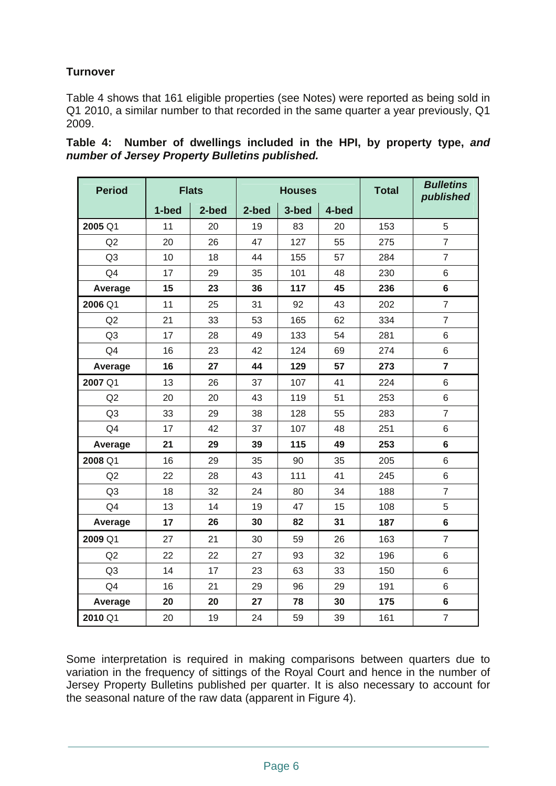# **Turnover**

Table 4 shows that 161 eligible properties (see Notes) were reported as being sold in Q1 2010, a similar number to that recorded in the same quarter a year previously, Q1 2009.

| <b>Period</b>  | <b>Flats</b> |       | <b>Houses</b> |       |       | <b>Total</b> | <b>Bulletins</b><br>published |
|----------------|--------------|-------|---------------|-------|-------|--------------|-------------------------------|
|                | 1-bed        | 2-bed | 2-bed         | 3-bed | 4-bed |              |                               |
| 2005 Q1        | 11           | 20    | 19            | 83    | 20    | 153          | 5                             |
| Q2             | 20           | 26    | 47            | 127   | 55    | 275          | $\overline{7}$                |
| Q3             | 10           | 18    | 44            | 155   | 57    | 284          | $\overline{7}$                |
| Q4             | 17           | 29    | 35            | 101   | 48    | 230          | 6                             |
| Average        | 15           | 23    | 36            | 117   | 45    | 236          | 6                             |
| 2006 Q1        | 11           | 25    | 31            | 92    | 43    | 202          | $\overline{7}$                |
| Q2             | 21           | 33    | 53            | 165   | 62    | 334          | $\overline{7}$                |
| Q3             | 17           | 28    | 49            | 133   | 54    | 281          | $6\phantom{1}$                |
| Q4             | 16           | 23    | 42            | 124   | 69    | 274          | 6                             |
| Average        | 16           | 27    | 44            | 129   | 57    | 273          | $\overline{7}$                |
| 2007 Q1        | 13           | 26    | 37            | 107   | 41    | 224          | $\,6$                         |
| Q2             | 20           | 20    | 43            | 119   | 51    | 253          | 6                             |
| Q <sub>3</sub> | 33           | 29    | 38            | 128   | 55    | 283          | $\overline{7}$                |
| Q <sub>4</sub> | 17           | 42    | 37            | 107   | 48    | 251          | 6                             |
| Average        | 21           | 29    | 39            | 115   | 49    | 253          | 6                             |
| 2008 Q1        | 16           | 29    | 35            | 90    | 35    | 205          | 6                             |
| Q2             | 22           | 28    | 43            | 111   | 41    | 245          | 6                             |
| Q <sub>3</sub> | 18           | 32    | 24            | 80    | 34    | 188          | $\overline{7}$                |
| Q <sub>4</sub> | 13           | 14    | 19            | 47    | 15    | 108          | 5                             |
| Average        | 17           | 26    | 30            | 82    | 31    | 187          | $6\phantom{a}$                |
| 2009 Q1        | 27           | 21    | 30            | 59    | 26    | 163          | $\overline{7}$                |
| Q2             | 22           | 22    | 27            | 93    | 32    | 196          | 6                             |
| Q <sub>3</sub> | 14           | 17    | 23            | 63    | 33    | 150          | 6                             |
| Q4             | 16           | 21    | 29            | 96    | 29    | 191          | 6                             |
| Average        | 20           | 20    | 27            | 78    | 30    | 175          | $6\phantom{1}$                |
| 2010 Q1        | 20           | 19    | 24            | 59    | 39    | 161          | $\overline{7}$                |

|  | Table 4: Number of dwellings included in the HPI, by property type, and |  |  |  |  |
|--|-------------------------------------------------------------------------|--|--|--|--|
|  | number of Jersey Property Bulletins published.                          |  |  |  |  |

Some interpretation is required in making comparisons between quarters due to variation in the frequency of sittings of the Royal Court and hence in the number of Jersey Property Bulletins published per quarter. It is also necessary to account for the seasonal nature of the raw data (apparent in Figure 4).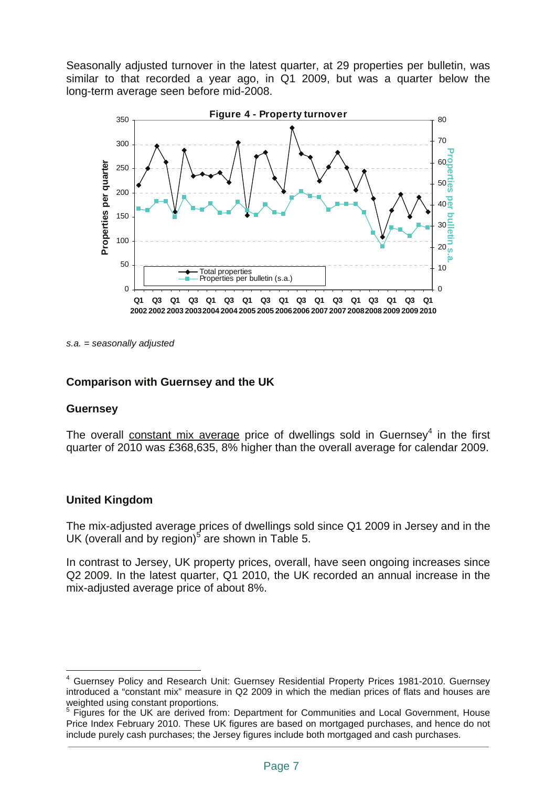Seasonally adjusted turnover in the latest quarter, at 29 properties per bulletin, was similar to that recorded a year ago, in Q1 2009, but was a quarter below the long-term average seen before mid-2008.



*s.a. = seasonally adjusted*

#### **Comparison with Guernsey and the UK**

#### **Guernsey**

The overall constant mix average price of dwellings sold in Guernsey<sup>4</sup> in the first quarter of 2010 was £368,635, 8% higher than the overall average for calendar 2009.

#### **United Kingdom**

 $\overline{a}$ 

The mix-adjusted average prices of dwellings sold since Q1 2009 in Jersey and in the UK (overall and by region)<sup>5</sup> are shown in Table 5.

In contrast to Jersey, UK property prices, overall, have seen ongoing increases since Q2 2009. In the latest quarter, Q1 2010, the UK recorded an annual increase in the mix-adjusted average price of about 8%.

<sup>4</sup> Guernsey Policy and Research Unit: Guernsey Residential Property Prices 1981-2010. Guernsey introduced a "constant mix" measure in Q2 2009 in which the median prices of flats and houses are weighted using constant proportions.

<sup>&</sup>lt;sup>5</sup> Figures for the UK are derived from: Department for Communities and Local Government, House Price Index February 2010. These UK figures are based on mortgaged purchases, and hence do not include purely cash purchases; the Jersey figures include both mortgaged and cash purchases.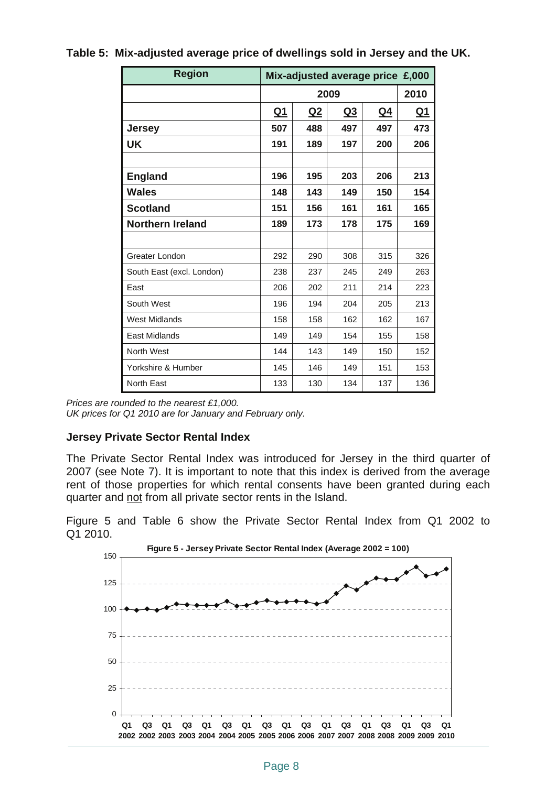| <b>Region</b>             |           | Mix-adjusted average price £,000 |           |           |           |  |
|---------------------------|-----------|----------------------------------|-----------|-----------|-----------|--|
|                           |           | 2010                             |           |           |           |  |
|                           | <u>Q1</u> | <u>Q2</u>                        | <u>Q3</u> | <u>Q4</u> | <u>Q1</u> |  |
| <b>Jersey</b>             | 507       | 488                              | 497       | 497       | 473       |  |
| UK                        | 191       | 189                              | 197       | 200       | 206       |  |
|                           |           |                                  |           |           |           |  |
| <b>England</b>            | 196       | 195                              | 203       | 206       | 213       |  |
| Wales                     | 148       | 143                              | 149       | 150       | 154       |  |
| <b>Scotland</b>           | 151       | 156                              | 161       | 161       | 165       |  |
| <b>Northern Ireland</b>   | 189       | 173                              | 178       | 175       | 169       |  |
|                           |           |                                  |           |           |           |  |
| Greater London            | 292       | 290                              | 308       | 315       | 326       |  |
| South East (excl. London) | 238       | 237                              | 245       | 249       | 263       |  |
| East                      | 206       | 202                              | 211       | 214       | 223       |  |
| South West                | 196       | 194                              | 204       | 205       | 213       |  |
| <b>West Midlands</b>      | 158       | 158                              | 162       | 162       | 167       |  |
| <b>East Midlands</b>      | 149       | 149                              | 154       | 155       | 158       |  |
| North West                | 144       | 143                              | 149       | 150       | 152       |  |
| Yorkshire & Humber        | 145       | 146                              | 149       | 151       | 153       |  |
| <b>North East</b>         | 133       | 130                              | 134       | 137       | 136       |  |

### **Table 5: Mix-adjusted average price of dwellings sold in Jersey and the UK.**

*Prices are rounded to the nearest £1,000. UK prices for Q1 2010 are for January and February only.* 

# **Jersey Private Sector Rental Index**

The Private Sector Rental Index was introduced for Jersey in the third quarter of 2007 (see Note 7). It is important to note that this index is derived from the average rent of those properties for which rental consents have been granted during each quarter and not from all private sector rents in the Island.

Figure 5 and Table 6 show the Private Sector Rental Index from Q1 2002 to Q1 2010.

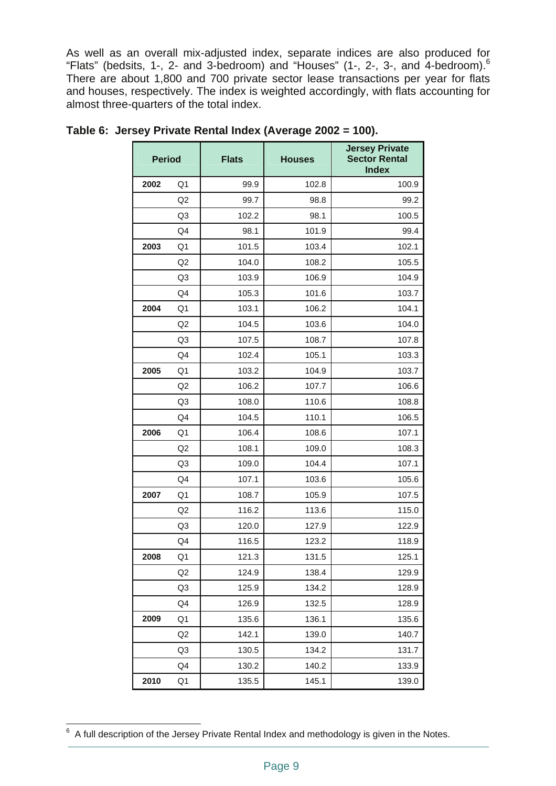As well as an overall mix-adjusted index, separate indices are also produced for "Flats" (bedsits, 1-, 2- and 3-bedroom) and "Houses" (1-, 2-, 3-, and 4-bedroom).6 There are about 1,800 and 700 private sector lease transactions per year for flats and houses, respectively. The index is weighted accordingly, with flats accounting for almost three-quarters of the total index.

| <b>Period</b> |                | <b>Flats</b> | <b>Houses</b> | <b>Jersey Private</b><br><b>Sector Rental</b><br><b>Index</b> |
|---------------|----------------|--------------|---------------|---------------------------------------------------------------|
| 2002          | Q <sub>1</sub> | 99.9         | 102.8         | 100.9                                                         |
|               | Q2             | 99.7         | 98.8          | 99.2                                                          |
|               | Q <sub>3</sub> | 102.2        | 98.1          | 100.5                                                         |
|               | Q4             | 98.1         | 101.9         | 99.4                                                          |
| 2003          | Q <sub>1</sub> | 101.5        | 103.4         | 102.1                                                         |
|               | Q2             | 104.0        | 108.2         | 105.5                                                         |
|               | Q <sub>3</sub> | 103.9        | 106.9         | 104.9                                                         |
|               | Q4             | 105.3        | 101.6         | 103.7                                                         |
| 2004          | Q <sub>1</sub> | 103.1        | 106.2         | 104.1                                                         |
|               | Q2             | 104.5        | 103.6         | 104.0                                                         |
|               | Q <sub>3</sub> | 107.5        | 108.7         | 107.8                                                         |
|               | Q4             | 102.4        | 105.1         | 103.3                                                         |
| 2005          | Q1             | 103.2        | 104.9         | 103.7                                                         |
|               | Q2             | 106.2        | 107.7         | 106.6                                                         |
|               | Q3             | 108.0        | 110.6         | 108.8                                                         |
|               | Q <sub>4</sub> | 104.5        | 110.1         | 106.5                                                         |
| 2006          | Q <sub>1</sub> | 106.4        | 108.6         | 107.1                                                         |
|               | Q2             | 108.1        | 109.0         | 108.3                                                         |
|               | Q <sub>3</sub> | 109.0        | 104.4         | 107.1                                                         |
|               | Q4             | 107.1        | 103.6         | 105.6                                                         |
| 2007          | Q1             | 108.7        | 105.9         | 107.5                                                         |
|               | Q2             | 116.2        | 113.6         | 115.0                                                         |
|               | Q3             | 120.0        | 127.9         | 122.9                                                         |
|               | Q4             | 116.5        | 123.2         | 118.9                                                         |
| 2008          | Q1             | 121.3        | 131.5         | 125.1                                                         |
|               | Q2             | 124.9        | 138.4         | 129.9                                                         |
|               | Q <sub>3</sub> | 125.9        | 134.2         | 128.9                                                         |
|               | Q4             | 126.9        | 132.5         | 128.9                                                         |
| 2009          | Q1             | 135.6        | 136.1         | 135.6                                                         |
|               | Q <sub>2</sub> | 142.1        | 139.0         | 140.7                                                         |
|               | Q <sub>3</sub> | 130.5        | 134.2         | 131.7                                                         |
|               | Q4             | 130.2        | 140.2         | 133.9                                                         |
| 2010          | Q1             | 135.5        | 145.1         | 139.0                                                         |

**Table 6: Jersey Private Rental Index (Average 2002 = 100).** 

 6 A full description of the Jersey Private Rental Index and methodology is given in the Notes.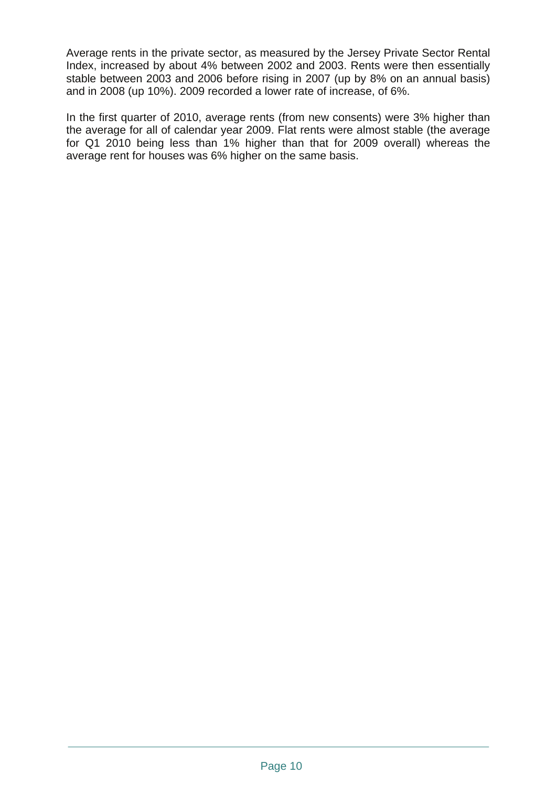Average rents in the private sector, as measured by the Jersey Private Sector Rental Index, increased by about 4% between 2002 and 2003. Rents were then essentially stable between 2003 and 2006 before rising in 2007 (up by 8% on an annual basis) and in 2008 (up 10%). 2009 recorded a lower rate of increase, of 6%.

In the first quarter of 2010, average rents (from new consents) were 3% higher than the average for all of calendar year 2009. Flat rents were almost stable (the average for Q1 2010 being less than 1% higher than that for 2009 overall) whereas the average rent for houses was 6% higher on the same basis.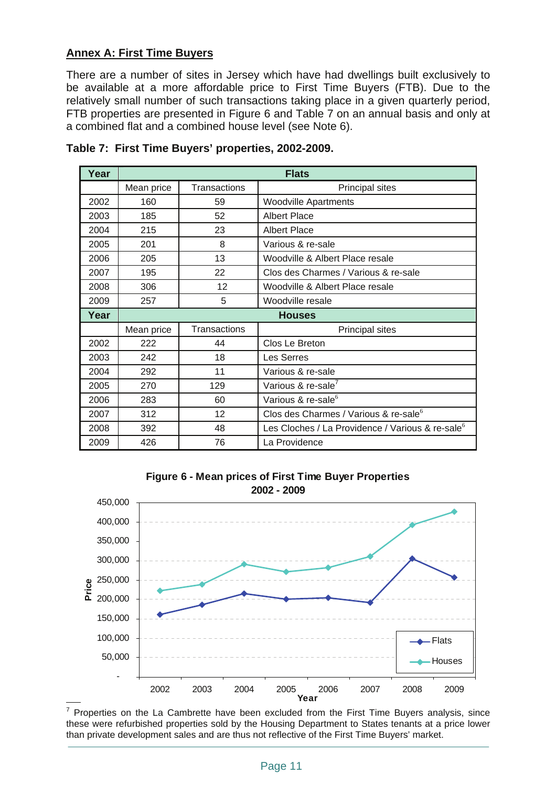## **Annex A: First Time Buyers**

There are a number of sites in Jersey which have had dwellings built exclusively to be available at a more affordable price to First Time Buyers (FTB). Due to the relatively small number of such transactions taking place in a given quarterly period, FTB properties are presented in Figure 6 and Table 7 on an annual basis and only at a combined flat and a combined house level (see Note 6).

| Year |            |                     | <b>Flats</b>                                                 |  |
|------|------------|---------------------|--------------------------------------------------------------|--|
|      | Mean price | <b>Transactions</b> | <b>Principal sites</b>                                       |  |
| 2002 | 160        | 59                  | <b>Woodville Apartments</b>                                  |  |
| 2003 | 185        | 52                  | <b>Albert Place</b>                                          |  |
| 2004 | 215        | 23                  | <b>Albert Place</b>                                          |  |
| 2005 | 201        | 8                   | Various & re-sale                                            |  |
| 2006 | 205        | 13                  | Woodville & Albert Place resale                              |  |
| 2007 | 195        | 22                  | Clos des Charmes / Various & re-sale                         |  |
| 2008 | 306        | 12                  | Woodville & Albert Place resale                              |  |
| 2009 | 257        | 5                   | Woodville resale                                             |  |
|      |            |                     |                                                              |  |
| Year |            |                     | <b>Houses</b>                                                |  |
|      | Mean price | Transactions        | <b>Principal sites</b>                                       |  |
| 2002 | 222        | 44                  | Clos Le Breton                                               |  |
| 2003 | 242        | 18                  | Les Serres                                                   |  |
| 2004 | 292        | 11                  | Various & re-sale                                            |  |
| 2005 | 270        | 129                 | Various & re-sale <sup>7</sup>                               |  |
| 2006 | 283        | 60                  | Various & re-sale <sup>6</sup>                               |  |
| 2007 | 312        | 12                  | Clos des Charmes / Various & re-sale <sup>6</sup>            |  |
| 2008 | 392        | 48                  | Les Cloches / La Providence / Various & re-sale <sup>6</sup> |  |

#### **Table 7: First Time Buyers' properties, 2002-2009.**





 $\overline{a}$  $7$  Properties on the La Cambrette have been excluded from the First Time Buyers analysis, since these were refurbished properties sold by the Housing Department to States tenants at a price lower than private development sales and are thus not reflective of the First Time Buyers' market.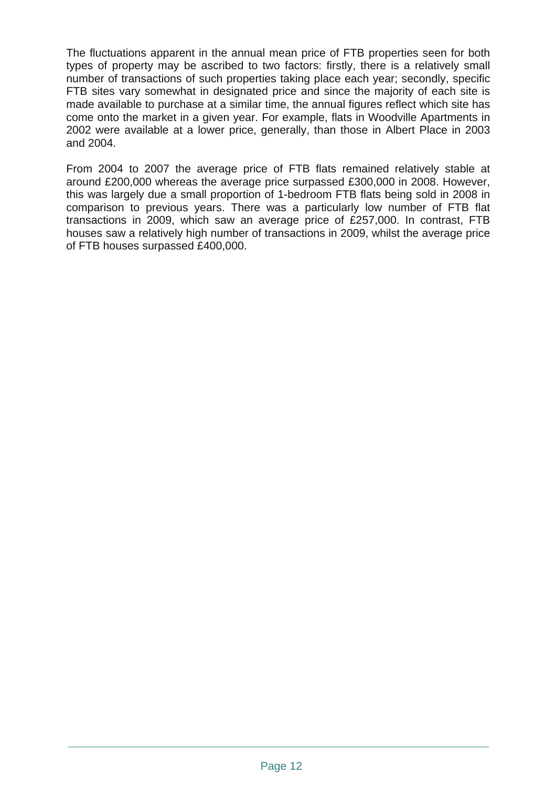The fluctuations apparent in the annual mean price of FTB properties seen for both types of property may be ascribed to two factors: firstly, there is a relatively small number of transactions of such properties taking place each year; secondly, specific FTB sites vary somewhat in designated price and since the majority of each site is made available to purchase at a similar time, the annual figures reflect which site has come onto the market in a given year. For example, flats in Woodville Apartments in 2002 were available at a lower price, generally, than those in Albert Place in 2003 and 2004.

From 2004 to 2007 the average price of FTB flats remained relatively stable at around £200,000 whereas the average price surpassed £300,000 in 2008. However, this was largely due a small proportion of 1-bedroom FTB flats being sold in 2008 in comparison to previous years. There was a particularly low number of FTB flat transactions in 2009, which saw an average price of £257,000. In contrast, FTB houses saw a relatively high number of transactions in 2009, whilst the average price of FTB houses surpassed £400,000.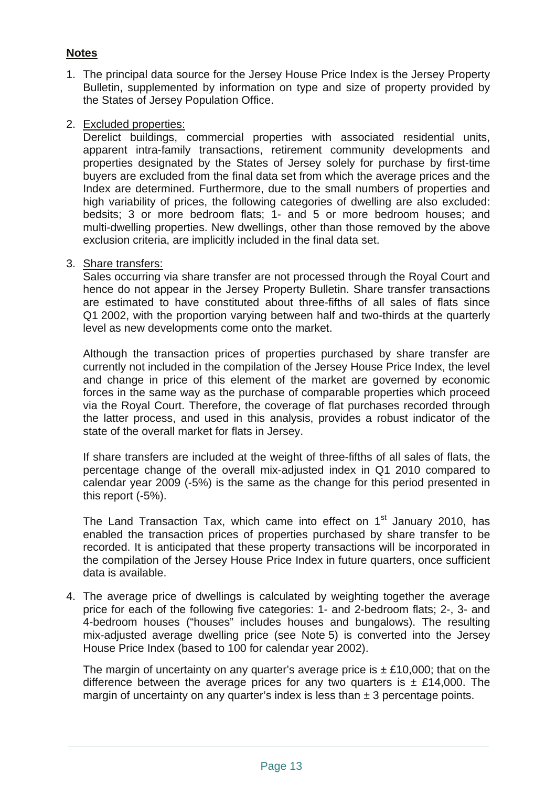# **Notes**

- 1. The principal data source for the Jersey House Price Index is the Jersey Property Bulletin, supplemented by information on type and size of property provided by the States of Jersey Population Office.
- 2. Excluded properties:

Derelict buildings, commercial properties with associated residential units, apparent intra-family transactions, retirement community developments and properties designated by the States of Jersey solely for purchase by first-time buyers are excluded from the final data set from which the average prices and the Index are determined. Furthermore, due to the small numbers of properties and high variability of prices, the following categories of dwelling are also excluded: bedsits; 3 or more bedroom flats; 1- and 5 or more bedroom houses; and multi-dwelling properties. New dwellings, other than those removed by the above exclusion criteria, are implicitly included in the final data set.

3. Share transfers:

Sales occurring via share transfer are not processed through the Royal Court and hence do not appear in the Jersey Property Bulletin. Share transfer transactions are estimated to have constituted about three-fifths of all sales of flats since Q1 2002, with the proportion varying between half and two-thirds at the quarterly level as new developments come onto the market.

Although the transaction prices of properties purchased by share transfer are currently not included in the compilation of the Jersey House Price Index, the level and change in price of this element of the market are governed by economic forces in the same way as the purchase of comparable properties which proceed via the Royal Court. Therefore, the coverage of flat purchases recorded through the latter process, and used in this analysis, provides a robust indicator of the state of the overall market for flats in Jersey.

If share transfers are included at the weight of three-fifths of all sales of flats, the percentage change of the overall mix-adjusted index in Q1 2010 compared to calendar year 2009 (-5%) is the same as the change for this period presented in this report (-5%).

The Land Transaction Tax, which came into effect on  $1<sup>st</sup>$  January 2010, has enabled the transaction prices of properties purchased by share transfer to be recorded. It is anticipated that these property transactions will be incorporated in the compilation of the Jersey House Price Index in future quarters, once sufficient data is available.

4. The average price of dwellings is calculated by weighting together the average price for each of the following five categories: 1- and 2-bedroom flats; 2-, 3- and 4-bedroom houses ("houses" includes houses and bungalows). The resulting mix-adjusted average dwelling price (see Note 5) is converted into the Jersey House Price Index (based to 100 for calendar year 2002).

The margin of uncertainty on any quarter's average price is  $\pm$  £10,000; that on the difference between the average prices for any two quarters is  $\pm$  £14,000. The margin of uncertainty on any quarter's index is less than  $\pm$  3 percentage points.